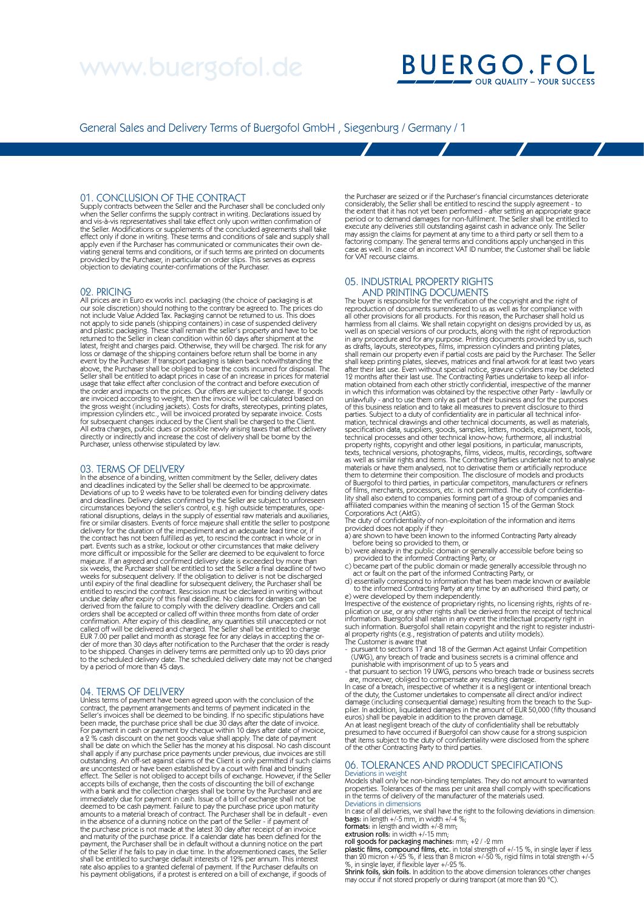# www.buergofol.de

# **BUERGO.FOL**

General Sales and Delivery Terms of Buergofol GmbH , Siegenburg / Germany / 1

### 01. CONCLUSION OF THE CONTRACT

Supply contracts between the Seller and the Purchaser shall be concluded only when the Seller confirms the supply contract in writing. Declarations issued by and vis-à-vis representatives shall take effect only upon written confirmation of the Seller. Modifications or supplements of the concluded agreements shall take effect only if done in writing. These terms and conditions of sale and supply shall apply even if the Purchaser has communicated or communicates their own de-<br>viating general terms and conditions, or if such terms are printed on documents<br>provided by the Purchaser, in particular on order slips. This serve

### 02. PRICING

All prices are in Euro ex works incl. packaging (the choice of packaging is at our sole discretion) should nothing to the contrary be agreed to. The prices do not include Value Added Tax. Packaging cannot be returned to us. This does not apply to side panels (shipping containers) in case of suspended delivery and plastic packaging. These shall remain the seller's property and have to be returned to the Seller in clean condition within 60 days after shipment at the latest, freight and charges paid. Otherwise, they will be charged. The risk for any loss or damage of the shipping containers before return shall be borne in any event by the Purchaser. If transport packaging is taken back notwithstanding the above, the Purchaser shall be obliged to bear the costs incurred for disposal. The<br>Seller shall be entitled to adapt prices in case of an increase in prices for material<br>usage that take effect after conclusion of the contr are invoiced according to weight, then the invoice will be calculated based on<br>the gross weight (including jackets). Costs for drafts, stereotypes, printing plates,<br>impression cylinders etc., will be invoiced prorated by s All extra charges, public dues or possible newly arising taxes that affect delivery directly or indirectly and increase the cost of delivery shall be borne by the Purchaser, unless otherwise stipulated by law.

### 03. TERMS OF DELIVERY

In the absence of a binding, written commitment by the Seller, delivery dates and deadlines indicated by the Seller shall be deemed to be approximate. Deviations of up to 2 weeks have to be tolerated even for binding delivery dates<br>and deadlines. Delivery dates confirmed by the Seller are subject to unforeseen<br>circumstances beyond the seller's control, e.g. high outside fire or similar disasters. Events of force majeure shall entitle the seller to postpone delivery for the duration of the impediment and an adequate lead time or, if the contract has not been fulfilled as yet, to rescind the contract in whole or in<br>part. Events such as a strike, lockout or other circumstances that make delivery<br>more difficult or impossible for the Seller are deemed to majeure. If an agreed and confirmed delivery date is exceeded by more than<br>six weeks, the Purchaser shall be entitled to set the Seller a final deadline of two<br>weeks for subsequent delivery. If the obligation to deliver is until expiry of the final deadline for subsequent delivery, the Purchaser shall be<br>entitled to rescind the contract. Rescission must be declared in writing without<br>undue delay after expiry of this final deadline. No claims derived from the failure to comply with the delivery deadline. Orders and call<br>orders shall be accepted or called off within three months from date of order<br>confirmation. After expiry of this deadline, any quantities still to be shipped. Changes in delivery terms are permitted only up to 20 days prior<br>to the scheduled delivery date. The scheduled delivery date may not be changed<br>by a period of more than 45 days.

### 04. TERMS OF DELIVERY

Unless terms of payment have been agreed upon with the conclusion of the contract, the payment arrangements and terms of payment indicated in the Seller's invoices shall be deemed to be binding. If no specific stipulations have been made, the purchase price shall be due 30 days after the date of invoice.<br>For payment in cash or payment by cheque within 10 days after date of invoice,<br>a 2 % cash discount on the net goods value shall apply. The date shall apply if any purchase price payments under previous, due invoices are still outstanding. An off-set against claims of the Client is only permitted if such claims are uncontested or have been established by a court with final and binding<br>effect. The Seller is not obliged to accept bills of exchange. However, if the Seller<br>accepts bills of exchange, then the costs of discounting the deemed to be cash payment. Failure to pay the purchase price upon maturity<br>amounts to a material breach of contract. The Purchaser shall be in default - even<br>in the absence of a dunning notice on the part of the Seller - i and maturity of the purchase price. If a calendar date has been defined for the<br>payment, the Purchaser shall be in default without a dunning notice on the part<br>of the Seller if he fails to pay in due time. In the aforement rate also applies to a granted deferral of payment. If the Purchaser defaults on his payment obligations, if a protest is entered on a bill of exchange, if goods of

the Purchaser are seized or if the Purchaser's financial circumstances deteriorate considerably, the Seller shall be entitled to rescind the supply agreement - to the extent that it has not yet been performed - after setting an appropriate grace period or to demand damages for non-fulfilment. The Seller shall be entitled to execute any deliveries still outstanding against cash in advance only. The Seller may assign the claims for payment at any time to a third party or sell them to a factoring company. The general terms and conditions apply unchanged in this case as well. In case of an incorrect VAT ID number, the Customer shall be liable for VAT recourse claims.

### 05. INDUSTRIAL PROPERTY RIGHTS

AND PRINTING DOCUMENTS<br>The buyer is responsible for the verification of the copyright and the right of<br>reproduction of documents surrendered to us as well as for compliance with<br>all other provisions for all products. For t in any procedure and for any purpose. Printing documents provided by us, such<br>as drafts, layouts, stereotypes, films, impression cylinders and printing plates,<br>shall remain our property even if partial costs are paid by th mation obtained from each other strictly confidential, irrespective of the manner<br>in which this information was obtained by the respective other Party - lawfully or<br>unlawfully - and to use them only as part of their busine parties. Subject to a duty of confidentiality are in particular all technical infor-mation, technical drawings and other technical documents, as well as materials, specification data, suppliers, goods, samples, letters, models, equipment, tools, technical processes and other technical know-how; furthermore, all industrial property rights, copyright and other legal positions, in parti them to determine their composition. The disclosure of models and products of Buergofol to third parties, in particular competitors, manufacturers or refiners of films, merchants, processors, etc. is not permitted. The duty of confidentia-<br>lity shall also extend to companies forming part of a group of companies and<br>affiliated companies within the meaning of section 15 of the Ger

The duty of confidentiality of non-exploitation of the information and items<br>provided does not apply if they<br>a) are shown to have been known to the informed Contracting Party already<br>a) were already in the public domain or

c) became part of the public domain or made generally accessible through no<br>act or fault on the part of the informed Contracting Party, or<br>d) essentially correspond to informed Contracting Party, or<br>to the informed Contrac

e) were developed by them independently. Irrespective of the existence of proprietary rights, no licensing rights, rights of replication or use, or any other rights shall be derived from the receipt of technical<br>information. Buergofol shall retain in any event the intellectual property right in<br>such information. Buergofol shall retain copyright an

The Customer is aware that - pursuant to sections 17 and 18 of the German Act against Unfair Competition (UWG), any breach of trade and business secrets is a criminal offence and punishable with imprisonment of up to 5 years and

- that pursuant to section 19 UWG, persons who breach trade or business secrets<br>are, moreover, obliged to compensate any resulting damage.<br>In case of a breach, irrespective of whether it is a negligent or intentional breac

damage (including consequential damage) resulting from the breach to the Sup- plier. In addition, liquidated damages in the amount of EUR 50,000 (fifty thousand

euros) shall be payable in addition to the proven damage.<br>An at least negligent breach of the duty of confidentiality shall be rebuttably<br>presumed to have occurred if Buergofol can show cause for a strong suspicion<br>that it of the other Contracting Party to third parties.

### 06. TOLERANCES AND PRODUCT SPECIFICATIONS

Deviations in weight Models shall only be non-binding templates. They do not amount to warranted properties. Tolerances of the mass per unit area shall comply with specifications in the terms of delivery of the manufacturer of the materials used. Deviations in dimensions

In case of all deliveries, we shall have the right to the following deviations in dimension:<br>**bags:** in length +/-5 mm, in width +/-4 %;<br>**formats:** in length and width +/-8 mm;

extrusion rolls: in width +/-15 mm;

roll goods for packaging machines: mm; +2 / -2 mm plastic films, compound films, etc. in total strength of +/-15 %, in single layer if less than 20 micron +/-25 %, if less than 8 micron +/-50 %, rigid films in total strength +/-5<br>%, in single layer, if flexible layer +/-25 %.<br>**Shrink foils, skin foils**. In addition to the above dimension tolerances other chang

may occur if not stored properly or during transport (at more than 20 °C).